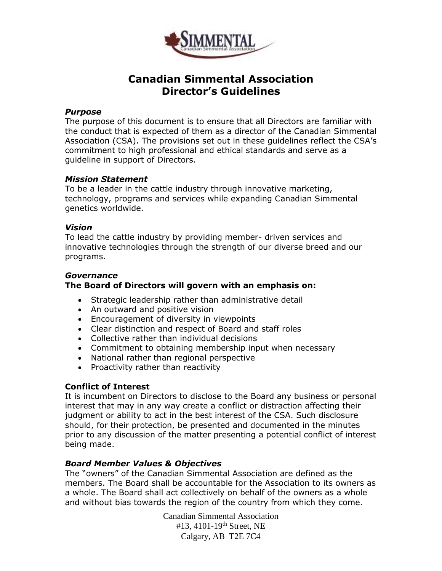

# **Canadian Simmental Association Director's Guidelines**

#### *Purpose*

The purpose of this document is to ensure that all Directors are familiar with the conduct that is expected of them as a director of the Canadian Simmental Association (CSA). The provisions set out in these guidelines reflect the CSA's commitment to high professional and ethical standards and serve as a guideline in support of Directors.

#### *Mission Statement*

To be a leader in the cattle industry through innovative marketing, technology, programs and services while expanding Canadian Simmental genetics worldwide.

#### *Vision*

To lead the cattle industry by providing member- driven services and innovative technologies through the strength of our diverse breed and our programs.

#### *Governance*  **The Board of Directors will govern with an emphasis on:**

- Strategic leadership rather than administrative detail
- An outward and positive vision
- Encouragement of diversity in viewpoints
- Clear distinction and respect of Board and staff roles
- Collective rather than individual decisions
- Commitment to obtaining membership input when necessary
- National rather than regional perspective
- Proactivity rather than reactivity

# **Conflict of Interest**

It is incumbent on Directors to disclose to the Board any business or personal interest that may in any way create a conflict or distraction affecting their judgment or ability to act in the best interest of the CSA. Such disclosure should, for their protection, be presented and documented in the minutes prior to any discussion of the matter presenting a potential conflict of interest being made.

# *Board Member Values & Objectives*

The "owners" of the Canadian Simmental Association are defined as the members. The Board shall be accountable for the Association to its owners as a whole. The Board shall act collectively on behalf of the owners as a whole and without bias towards the region of the country from which they come.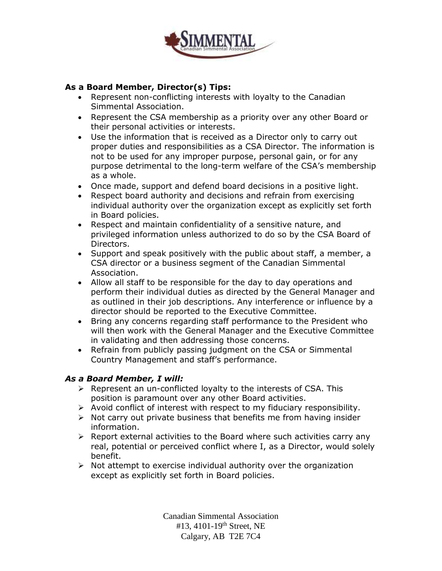

# **As a Board Member, Director(s) Tips:**

- Represent non-conflicting interests with loyalty to the Canadian Simmental Association.
- Represent the CSA membership as a priority over any other Board or their personal activities or interests.
- Use the information that is received as a Director only to carry out proper duties and responsibilities as a CSA Director. The information is not to be used for any improper purpose, personal gain, or for any purpose detrimental to the long-term welfare of the CSA's membership as a whole.
- Once made, support and defend board decisions in a positive light.
- Respect board authority and decisions and refrain from exercising individual authority over the organization except as explicitly set forth in Board policies.
- Respect and maintain confidentiality of a sensitive nature, and privileged information unless authorized to do so by the CSA Board of Directors.
- Support and speak positively with the public about staff, a member, a CSA director or a business segment of the Canadian Simmental Association.
- Allow all staff to be responsible for the day to day operations and perform their individual duties as directed by the General Manager and as outlined in their job descriptions. Any interference or influence by a director should be reported to the Executive Committee.
- Bring any concerns regarding staff performance to the President who will then work with the General Manager and the Executive Committee in validating and then addressing those concerns.
- Refrain from publicly passing judgment on the CSA or Simmental Country Management and staff's performance.

# *As a Board Member, I will:*

- $\triangleright$  Represent an un-conflicted loyalty to the interests of CSA. This position is paramount over any other Board activities.
- $\triangleright$  Avoid conflict of interest with respect to my fiduciary responsibility.
- $\triangleright$  Not carry out private business that benefits me from having insider information.
- $\triangleright$  Report external activities to the Board where such activities carry any real, potential or perceived conflict where I, as a Director, would solely benefit.
- $\triangleright$  Not attempt to exercise individual authority over the organization except as explicitly set forth in Board policies.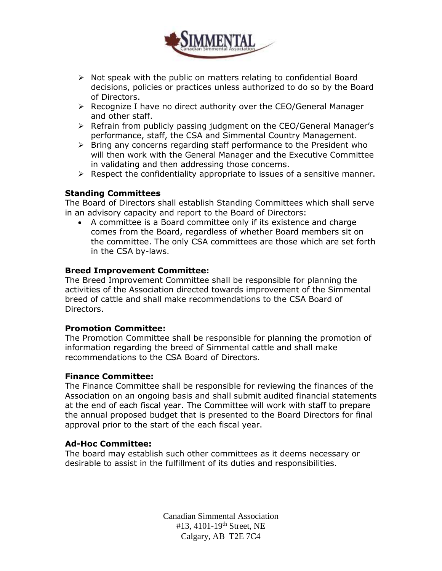

- $\triangleright$  Not speak with the public on matters relating to confidential Board decisions, policies or practices unless authorized to do so by the Board of Directors.
- $\triangleright$  Recognize I have no direct authority over the CEO/General Manager and other staff.
- Refrain from publicly passing judgment on the CEO/General Manager's performance, staff, the CSA and Simmental Country Management.
- $\triangleright$  Bring any concerns regarding staff performance to the President who will then work with the General Manager and the Executive Committee in validating and then addressing those concerns.
- $\triangleright$  Respect the confidentiality appropriate to issues of a sensitive manner.

#### **Standing Committees**

The Board of Directors shall establish Standing Committees which shall serve in an advisory capacity and report to the Board of Directors:

 A committee is a Board committee only if its existence and charge comes from the Board, regardless of whether Board members sit on the committee. The only CSA committees are those which are set forth in the CSA by-laws.

#### **Breed Improvement Committee:**

The Breed Improvement Committee shall be responsible for planning the activities of the Association directed towards improvement of the Simmental breed of cattle and shall make recommendations to the CSA Board of Directors.

# **Promotion Committee:**

The Promotion Committee shall be responsible for planning the promotion of information regarding the breed of Simmental cattle and shall make recommendations to the CSA Board of Directors.

#### **Finance Committee:**

The Finance Committee shall be responsible for reviewing the finances of the Association on an ongoing basis and shall submit audited financial statements at the end of each fiscal year. The Committee will work with staff to prepare the annual proposed budget that is presented to the Board Directors for final approval prior to the start of the each fiscal year.

#### **Ad-Hoc Committee:**

The board may establish such other committees as it deems necessary or desirable to assist in the fulfillment of its duties and responsibilities.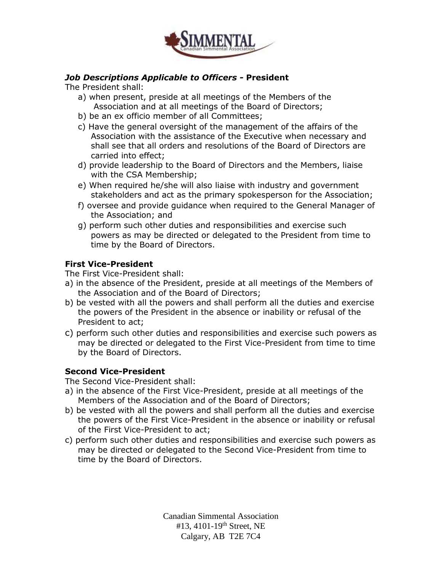

# *Job Descriptions Applicable to Officers -* **President**

The President shall:

- a) when present, preside at all meetings of the Members of the Association and at all meetings of the Board of Directors;
- b) be an ex officio member of all Committees;
- c) Have the general oversight of the management of the affairs of the Association with the assistance of the Executive when necessary and shall see that all orders and resolutions of the Board of Directors are carried into effect;
- d) provide leadership to the Board of Directors and the Members, liaise with the CSA Membership;
- e) When required he/she will also liaise with industry and government stakeholders and act as the primary spokesperson for the Association;
- f) oversee and provide guidance when required to the General Manager of the Association; and
- g) perform such other duties and responsibilities and exercise such powers as may be directed or delegated to the President from time to time by the Board of Directors.

# **First Vice-President**

The First Vice-President shall:

- a) in the absence of the President, preside at all meetings of the Members of the Association and of the Board of Directors;
- b) be vested with all the powers and shall perform all the duties and exercise the powers of the President in the absence or inability or refusal of the President to act;
- c) perform such other duties and responsibilities and exercise such powers as may be directed or delegated to the First Vice-President from time to time by the Board of Directors.

# **Second Vice-President**

The Second Vice-President shall:

- a) in the absence of the First Vice-President, preside at all meetings of the Members of the Association and of the Board of Directors;
- b) be vested with all the powers and shall perform all the duties and exercise the powers of the First Vice-President in the absence or inability or refusal of the First Vice-President to act;
- c) perform such other duties and responsibilities and exercise such powers as may be directed or delegated to the Second Vice-President from time to time by the Board of Directors.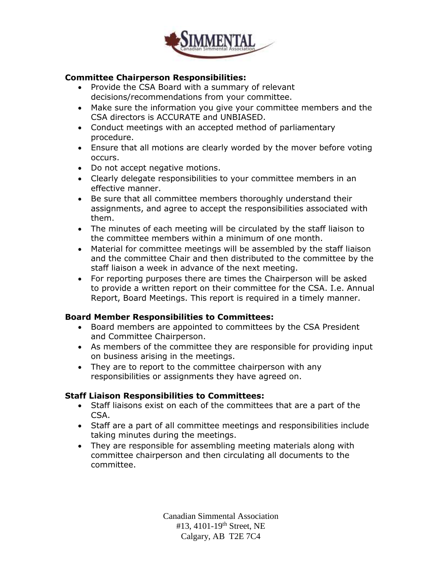

# **Committee Chairperson Responsibilities:**

- Provide the CSA Board with a summary of relevant decisions/recommendations from your committee.
- Make sure the information you give your committee members and the CSA directors is ACCURATE and UNBIASED.
- Conduct meetings with an accepted method of parliamentary procedure.
- Ensure that all motions are clearly worded by the mover before voting occurs.
- Do not accept negative motions.
- Clearly delegate responsibilities to your committee members in an effective manner.
- Be sure that all committee members thoroughly understand their assignments, and agree to accept the responsibilities associated with them.
- The minutes of each meeting will be circulated by the staff liaison to the committee members within a minimum of one month.
- Material for committee meetings will be assembled by the staff liaison and the committee Chair and then distributed to the committee by the staff liaison a week in advance of the next meeting.
- For reporting purposes there are times the Chairperson will be asked to provide a written report on their committee for the CSA. I.e. Annual Report, Board Meetings. This report is required in a timely manner.

# **Board Member Responsibilities to Committees:**

- Board members are appointed to committees by the CSA President and Committee Chairperson.
- As members of the committee they are responsible for providing input on business arising in the meetings.
- They are to report to the committee chairperson with any responsibilities or assignments they have agreed on.

# **Staff Liaison Responsibilities to Committees:**

- Staff liaisons exist on each of the committees that are a part of the CSA.
- Staff are a part of all committee meetings and responsibilities include taking minutes during the meetings.
- They are responsible for assembling meeting materials along with committee chairperson and then circulating all documents to the committee.